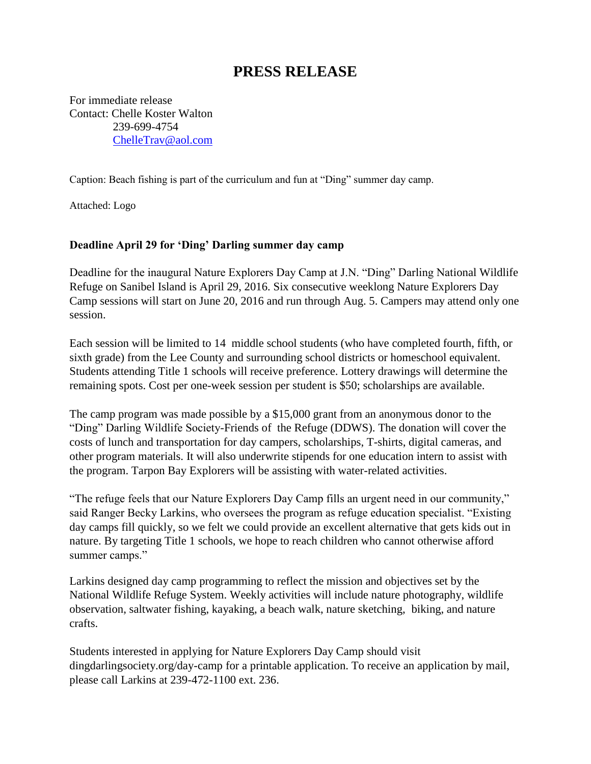## **PRESS RELEASE**

For immediate release Contact: Chelle Koster Walton 239-699-4754 [ChelleTrav@aol.com](mailto:ChelleTrav@aol.com)

Caption: Beach fishing is part of the curriculum and fun at "Ding" summer day camp.

Attached: Logo

## **Deadline April 29 for 'Ding' Darling summer day camp**

Deadline for the inaugural Nature Explorers Day Camp at J.N. "Ding" Darling National Wildlife Refuge on Sanibel Island is April 29, 2016. Six consecutive weeklong Nature Explorers Day Camp sessions will start on June 20, 2016 and run through Aug. 5. Campers may attend only one session.

Each session will be limited to 14 middle school students (who have completed fourth, fifth, or sixth grade) from the Lee County and surrounding school districts or homeschool equivalent. Students attending Title 1 schools will receive preference. Lottery drawings will determine the remaining spots. Cost per one-week session per student is \$50; scholarships are available.

The camp program was made possible by a \$15,000 grant from an anonymous donor to the "Ding" Darling Wildlife Society-Friends of the Refuge (DDWS). The donation will cover the costs of lunch and transportation for day campers, scholarships, T-shirts, digital cameras, and other program materials. It will also underwrite stipends for one education intern to assist with the program. Tarpon Bay Explorers will be assisting with water-related activities.

"The refuge feels that our Nature Explorers Day Camp fills an urgent need in our community," said Ranger Becky Larkins, who oversees the program as refuge education specialist. "Existing day camps fill quickly, so we felt we could provide an excellent alternative that gets kids out in nature. By targeting Title 1 schools, we hope to reach children who cannot otherwise afford summer camps."

Larkins designed day camp programming to reflect the mission and objectives set by the National Wildlife Refuge System. Weekly activities will include nature photography, wildlife observation, saltwater fishing, kayaking, a beach walk, nature sketching, biking, and nature crafts.

Students interested in applying for Nature Explorers Day Camp should visit dingdarlingsociety.org/day-camp for a printable application. To receive an application by mail, please call Larkins at 239-472-1100 ext. 236.